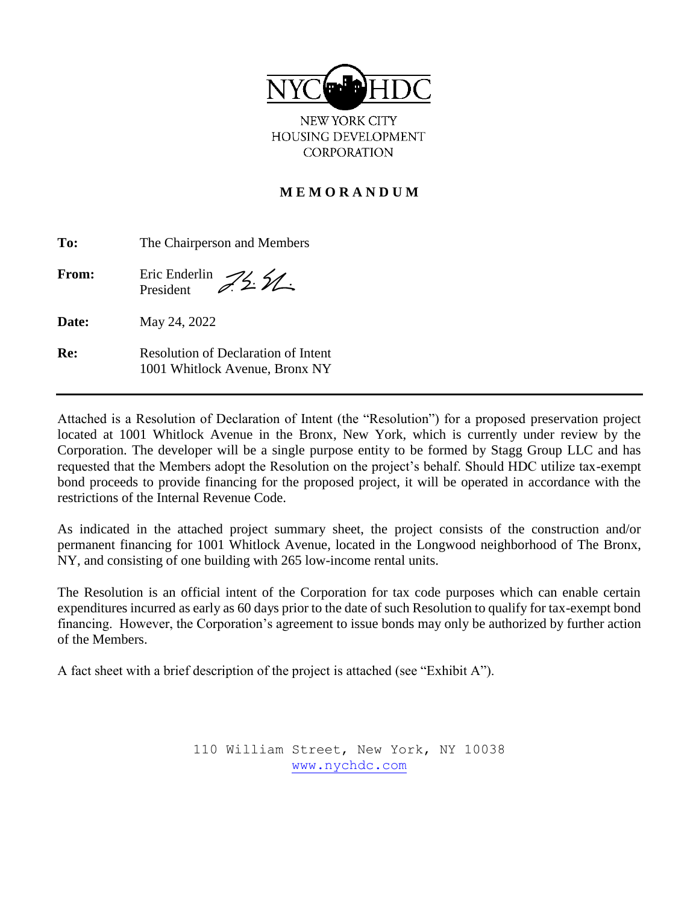

NEW YORK CITY HOUSING DEVELOPMENT **CORPORATION** 

## **M E M O R A N D U M**

| To:          | The Chairperson and Members                                           |  |
|--------------|-----------------------------------------------------------------------|--|
| <b>From:</b> | Eric Enderlin $\mathcal{Z}_2$ $\mathcal{Z}_1$<br>President            |  |
| Date:        | May 24, 2022                                                          |  |
| Re:          | Resolution of Declaration of Intent<br>1001 Whitlock Avenue, Bronx NY |  |

Attached is a Resolution of Declaration of Intent (the "Resolution") for a proposed preservation project located at 1001 Whitlock Avenue in the Bronx, New York, which is currently under review by the Corporation. The developer will be a single purpose entity to be formed by Stagg Group LLC and has requested that the Members adopt the Resolution on the project's behalf. Should HDC utilize tax-exempt bond proceeds to provide financing for the proposed project, it will be operated in accordance with the restrictions of the Internal Revenue Code.

As indicated in the attached project summary sheet, the project consists of the construction and/or permanent financing for 1001 Whitlock Avenue, located in the Longwood neighborhood of The Bronx, NY, and consisting of one building with 265 low-income rental units.

The Resolution is an official intent of the Corporation for tax code purposes which can enable certain expenditures incurred as early as 60 days prior to the date of such Resolution to qualify for tax-exempt bond financing. However, the Corporation's agreement to issue bonds may only be authorized by further action of the Members.

A fact sheet with a brief description of the project is attached (see "Exhibit A").

110 William Street, New York, NY 10038 [www.nychdc.com](http://www.nychdc.com/)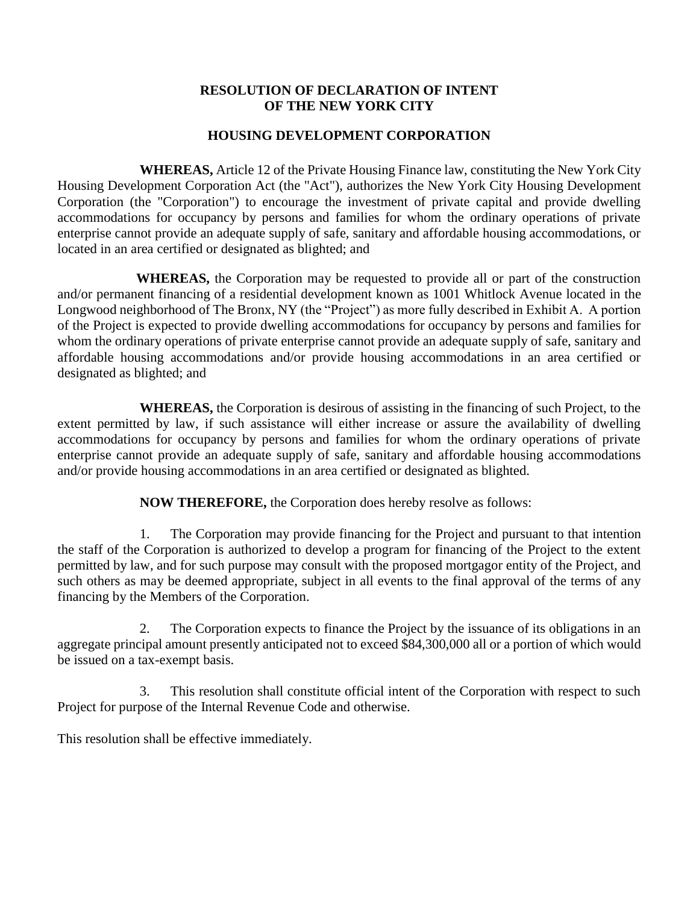#### **RESOLUTION OF DECLARATION OF INTENT OF THE NEW YORK CITY**

### **HOUSING DEVELOPMENT CORPORATION**

**WHEREAS,** Article 12 of the Private Housing Finance law, constituting the New York City Housing Development Corporation Act (the "Act"), authorizes the New York City Housing Development Corporation (the "Corporation") to encourage the investment of private capital and provide dwelling accommodations for occupancy by persons and families for whom the ordinary operations of private enterprise cannot provide an adequate supply of safe, sanitary and affordable housing accommodations, or located in an area certified or designated as blighted; and

 **WHEREAS,** the Corporation may be requested to provide all or part of the construction and/or permanent financing of a residential development known as 1001 Whitlock Avenue located in the Longwood neighborhood of The Bronx, NY (the "Project") as more fully described in Exhibit A. A portion of the Project is expected to provide dwelling accommodations for occupancy by persons and families for whom the ordinary operations of private enterprise cannot provide an adequate supply of safe, sanitary and affordable housing accommodations and/or provide housing accommodations in an area certified or designated as blighted; and

**WHEREAS,** the Corporation is desirous of assisting in the financing of such Project, to the extent permitted by law, if such assistance will either increase or assure the availability of dwelling accommodations for occupancy by persons and families for whom the ordinary operations of private enterprise cannot provide an adequate supply of safe, sanitary and affordable housing accommodations and/or provide housing accommodations in an area certified or designated as blighted.

**NOW THEREFORE,** the Corporation does hereby resolve as follows:

1. The Corporation may provide financing for the Project and pursuant to that intention the staff of the Corporation is authorized to develop a program for financing of the Project to the extent permitted by law, and for such purpose may consult with the proposed mortgagor entity of the Project, and such others as may be deemed appropriate, subject in all events to the final approval of the terms of any financing by the Members of the Corporation.

2. The Corporation expects to finance the Project by the issuance of its obligations in an aggregate principal amount presently anticipated not to exceed \$84,300,000 all or a portion of which would be issued on a tax-exempt basis.

3. This resolution shall constitute official intent of the Corporation with respect to such Project for purpose of the Internal Revenue Code and otherwise.

This resolution shall be effective immediately.